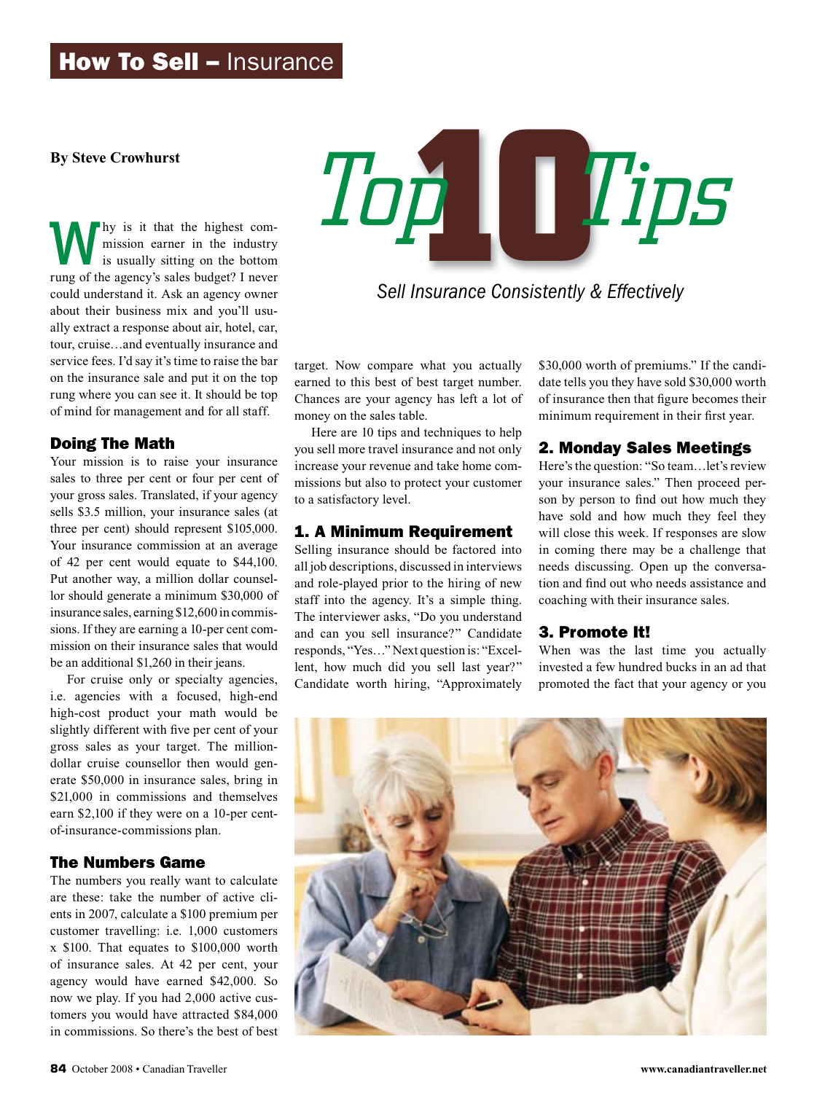#### **By Steve Crowhurst**

Why is it that the highest commission earner in the industry is usually sitting on the bottom rung of the agency's sales budget? I never could understand it. Ask an agency owner about their business mix and you'll usually extract a response about air, hotel, car, tour, cruise…and eventually insurance and service fees. I'd say it's time to raise the bar on the insurance sale and put it on the top rung where you can see it. It should be top of mind for management and for all staff.

#### Doing The Math

Your mission is to raise your insurance sales to three per cent or four per cent of your gross sales. Translated, if your agency sells \$3.5 million, your insurance sales (at three per cent) should represent \$105,000. Your insurance commission at an average of 42 per cent would equate to \$44,100. Put another way, a million dollar counsellor should generate a minimum \$30,000 of insurance sales, earning \$12,600 in commissions. If they are earning a 10-per cent commission on their insurance sales that would be an additional \$1,260 in their jeans.

For cruise only or specialty agencies, i.e. agencies with a focused, high-end high-cost product your math would be slightly different with five per cent of your gross sales as your target. The milliondollar cruise counsellor then would generate \$50,000 in insurance sales, bring in \$21,000 in commissions and themselves earn \$2,100 if they were on a 10-per centof-insurance-commissions plan.

#### The Numbers Game

The numbers you really want to calculate are these: take the number of active clients in 2007, calculate a \$100 premium per customer travelling: i.e. 1,000 customers x \$100. That equates to \$100,000 worth of insurance sales. At 42 per cent, your agency would have earned \$42,000. So now we play. If you had 2,000 active customers you would have attracted \$84,000 in commissions. So there's the best of best



*Sell Insurance Consistently & Effectively*

target. Now compare what you actually earned to this best of best target number. Chances are your agency has left a lot of money on the sales table.

Here are 10 tips and techniques to help you sell more travel insurance and not only increase your revenue and take home commissions but also to protect your customer to a satisfactory level.

#### 1. A Minimum Requirement

Selling insurance should be factored into all job descriptions, discussed in interviews and role-played prior to the hiring of new staff into the agency. It's a simple thing. The interviewer asks, "Do you understand and can you sell insurance?" Candidate responds, "Yes…" Next question is: "Excellent, how much did you sell last year?" Candidate worth hiring, "Approximately \$30,000 worth of premiums." If the candidate tells you they have sold \$30,000 worth of insurance then that figure becomes their minimum requirement in their first year.

#### 2. Monday Sales Meetings

Here's the question: "So team…let's review your insurance sales." Then proceed person by person to find out how much they have sold and how much they feel they will close this week. If responses are slow in coming there may be a challenge that needs discussing. Open up the conversation and find out who needs assistance and coaching with their insurance sales.

#### 3. Promote It!

When was the last time you actually invested a few hundred bucks in an ad that promoted the fact that your agency or you

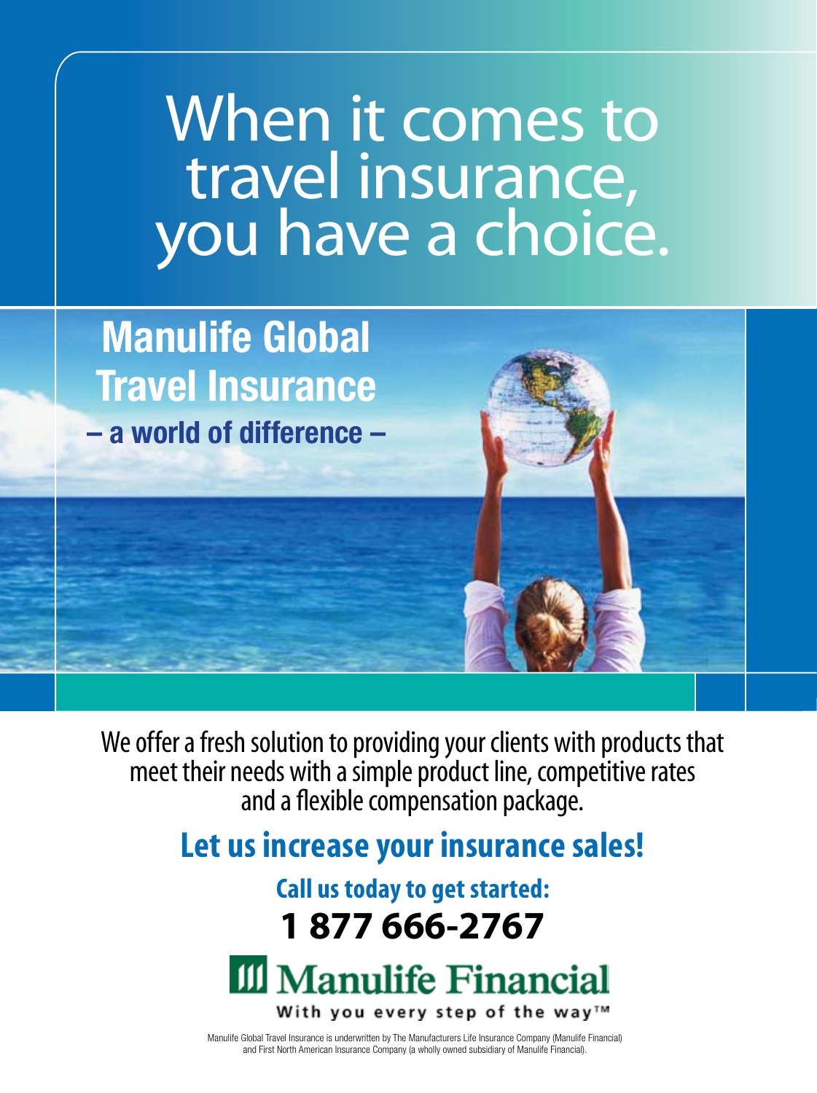# When it comes to travel insurance, you have a choice.

**Manulife Global Travel Insurance – a world of difference –**

We offer a fresh solution to providing your clients with products that meet their needs with a simple product line, competitive rates and a flexible compensation package.

# **Let us increase your insurance sales!**

# **Call us today to get started: 1 877 666-2767**



Manulife Global Travel Insurance is underwritten by The Manufacturers Life Insurance Company (Manulife Financial) and First North American Insurance Company (a wholly owned subsidiary of Manulife Financial).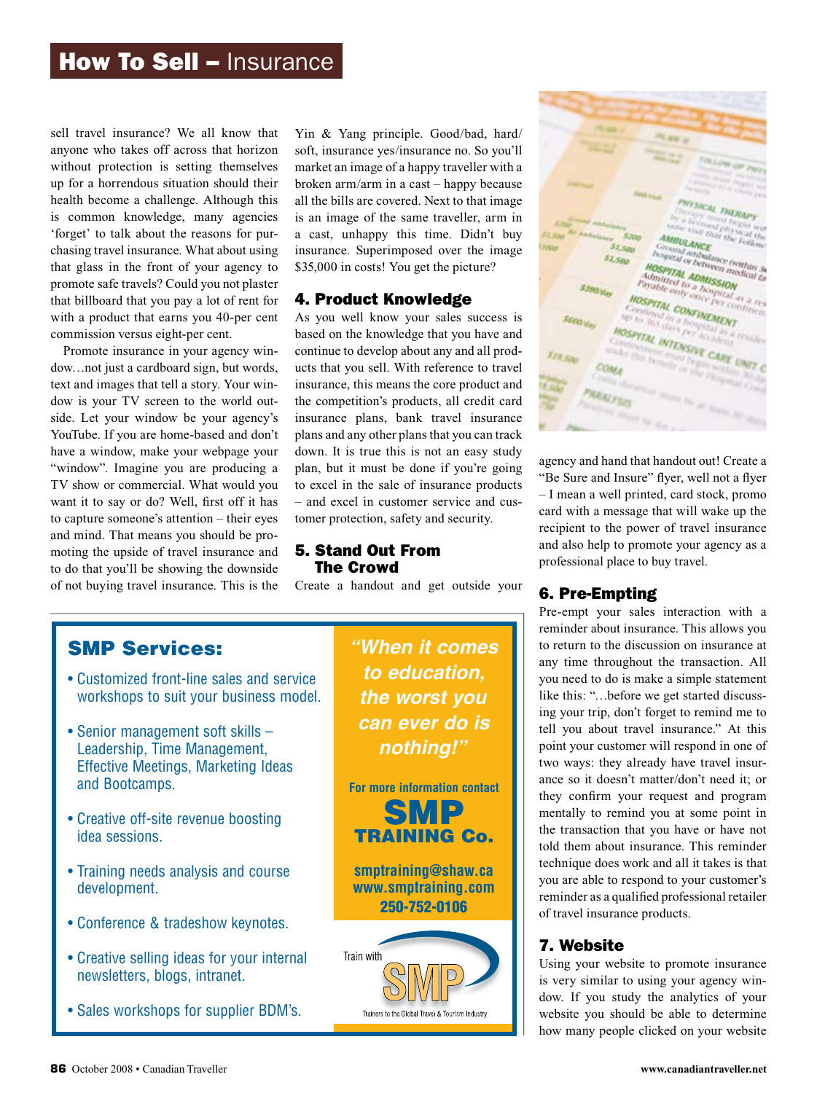### **How To Sell - Insurance**

sell travel insurance? We all know that anyone who takes off across that horizon soft, insurance yes/insurance no. So without protection is setting themselves market an image of up for a horrendous situation should their health become a challenge. Although this is common knowledge, many agencies 'forget' to talk about the reasons for purchasing travel insurance. What about using that glass in the front of your agency to promote safe travels? Could you not plaster that billboard that you pay a lot of rent for with a product that earns you 40-per cent commission versus eight-per cent.

Promote insurance in your agency window…not just a cardboard sign, but words, dow...not just a cardboard sign, but words, ucts that you sell. With retext and images that tell a story. Your win-<br>insurance, this means the dow is your TV screen to the world outdow is your IV screen to the world out-<br>side. Let your window be your agency's insurance plans, bank YouTube. If you are home-based and don't have a window, make your webpage your "window". Imagine you are producing a TV show or commercial. What would you want it to say or do? Well, first off it has to capture someone's attention – their eyes and mind. That means you should be promoting the upside of travel insurance and to do that you'll be showing the downside **The Crowd** of not buying travel insurance. This is the

Yin & Yang principle. Good/bad, hard/ soft, insurance yes/insurance no. So you'll market an image of a happy traveller with a broken arm/arm in a cast – happy because all the bills are covered. Next to that image is an image of the same traveller, arm in a cast, unhappy this time. Didn't buy insurance. Superimposed over the image \$35,000 in costs! You get the picture?

#### 4. Product Knowledge

As you well know your sales success is based on the knowledge that you have and continue to develop about any and all products that you sell. With reference to travel insurance, this means the core product and the competition's products, all credit card insurance plans, bank travel insurance plans and any other plans that you can track make your webpage your down. It is true this is not an easy study be a window, make your webpage your down. It is the this is not an easy study andow". Imagine you are producing a plan, but it must be done if you're going to excel in the sale of insurance products t it to say or do? Well, first off it has – and excel in customer service and customer protection, safety and security.

#### 5. Stand Out From The Crowd

surance. This is the Create a handout and get outside your

#### SMP Services:

- Customized front-line sales and service [workshops to suit your business model.](www.smptraining.com)
- Senior management soft skills Leadership, Time Management, Effective Meetings, Marketing Ideas and Bootcamps.
- Creative off-site revenue boosting idea sessions.
- Training needs analysis and course development.
- Conference & tradeshow keynotes.
- Creative selling ideas for your internal newsletters, blogs, intranet.
- Sales workshops for supplier BDM's.

**"When it comes to education, the worst you can ever do is nothing!"**







agency and hand that handout out! Create a "Be Sure and Insure" flyer, well not a flyer - I mean a well printed, card stock, promo card with a message that will wake up the recipient to the power of travel insurance and also help to promote your agency as a professional place to buy travel.

#### 6. Pre-Empting

Pre-empt your sales interaction with a reminder about insurance. This allows you to return to the discussion on insurance at any time throughout the transaction. All you need to do is make a simple statement like this: "…before we get started discussing your trip, don't forget to remind me to tell you about travel insurance." At this point your customer will respond in one of two ways: they already have travel insurance so it doesn't matter/don't need it; or they confirm your request and program mentally to remind you at some point in the transaction that you have or have not told them about insurance. This reminder technique does work and all it takes is that you are able to respond to your customer's reminder as a qualified professional retailer of travel insurance products.

#### 7. Website

Using your website to promote insurance is very similar to using your agency window. If you study the analytics of your website you should be able to determine how many people clicked on your website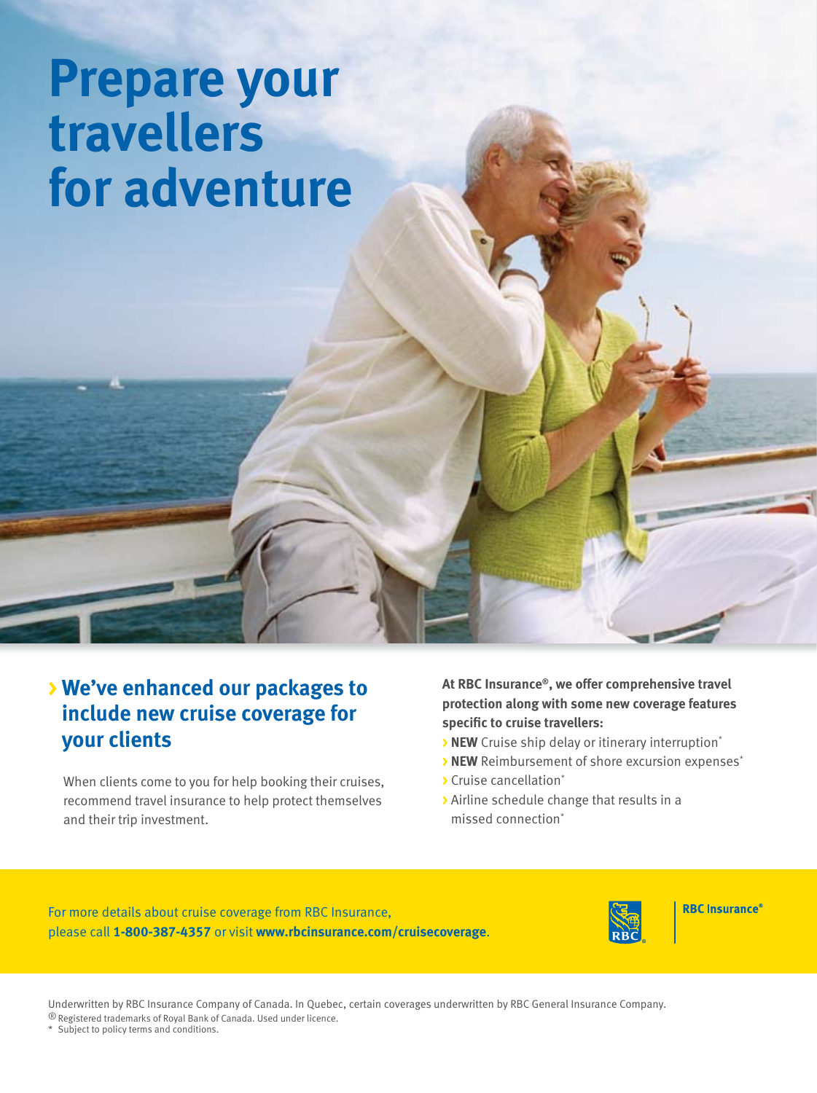# **Prepare your travellers [for adventure](www.rbcinsurance.com/cruisecoverage)**

## **> We've enhanced our packages to include new cruise coverage for your clients**

 When clients come to you for help booking their cruises, recommend travel insurance to help protect themselves and their trip investment.

#### **At RBC Insurance®, we offer comprehensive travel protection along with some new coverage features specific to cruise travellers:**

- **> NEW** Cruise ship delay or itinerary interruption\*
- **> NEW** Reimbursement of shore excursion expenses<sup>\*</sup>
- **>** Cruise cancellation\*
- **>** Airline schedule change that results in a missed connection\*

For more details about cruise coverage from RBC Insurance, please call **1-800-387-4357** or visit **www.rbcinsurance.com/cruisecoverage**.



**RBC** Insurance®

Underwritten by RBC Insurance Company of Canada. In Quebec, certain coverages underwritten by RBC General Insurance Company. ® Registered trademarks of Royal Bank of Canada. Used under licence.

\* Subject to policy terms and conditions.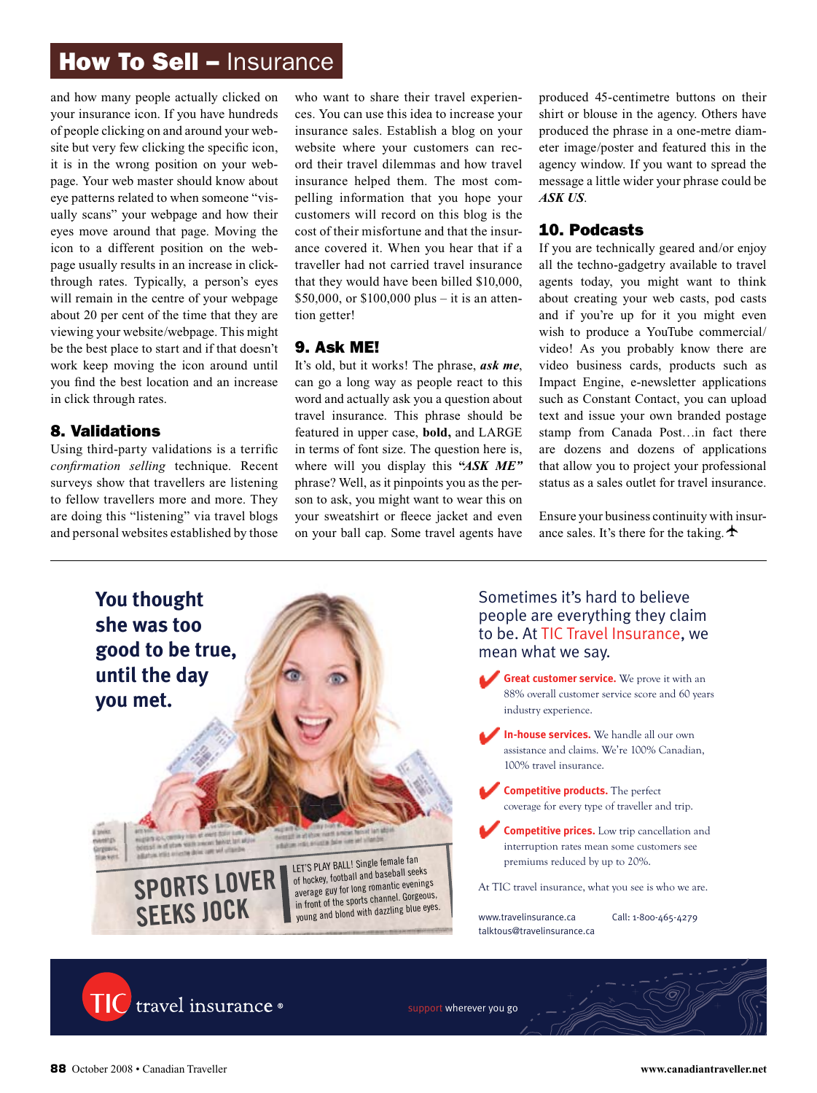## **How To Sell - Insurance**

and how many people actually clicked on your insurance icon. If you have hundreds of people clicking on and around your website but very few clicking the specific icon, it is in the wrong position on your webpage. Your web master should know about eye patterns related to when someone "visually scans" your webpage and how their eyes move around that page. Moving the icon to a different position on the webpage usually results in an increase in clickthrough rates. Typically, a person's eyes will remain in the centre of your webpage about 20 per cent of the time that they are viewing your website/webpage. This might be the best place to start and if that doesn't work keep moving the icon around until you find the best location and an increase in click through rates.

#### 8. Validations

Using third-party validations is a terrific *confirmation selling* technique. Recent surveys show that travellers are listening to fellow travellers more and more. They are doing this "listening" via travel blogs and personal websites established by those

who want to share their travel experiences. You can use this idea to increase your insurance sales. Establish a blog on your website where your customers can record their travel dilemmas and how travel insurance helped them. The most compelling information that you hope your customers will record on this blog is the cost of their misfortune and that the insurance covered it. When you hear that if a traveller had not carried travel insurance that they would have been billed \$10,000, \$50,000, or  $$100,000$  plus – it is an attention getter!

#### 9. Ask ME!

It's old, but it works! The phrase, *ask me*, can go a long way as people react to this word and actually ask you a question about travel insurance. This phrase should be featured in upper case, **bold,** and LARGE in terms of font size. The question here is, where will you display this **"***ASK ME"* phrase? Well, as it pinpoints you as the person to ask, you might want to wear this on your sweatshirt or fleece jacket and even on your ball cap. Some travel agents have produced 45-centimetre buttons on their shirt or blouse in the agency. Others have produced the phrase in a one-metre diameter image/poster and featured this in the agency window. If you want to spread the message a little wider your phrase could be *ASK US*.

#### 10. Podcasts

If you are technically geared and/or enjoy all the techno-gadgetry available to travel agents today, you might want to think about creating your web casts, pod casts and if you're up for it you might even wish to produce a YouTube commercial/ video! As you probably know there are video business cards, products such as Impact Engine, e-newsletter applications such as Constant Contact, you can upload text and issue your own branded postage stamp from Canada Post…in fact there are dozens and dozens of applications that allow you to project your professional status as a sales outlet for travel insurance.

Ensure your business continuity with insurance sales. It's there for the taking.  $\triangle$ 





support wherever you go